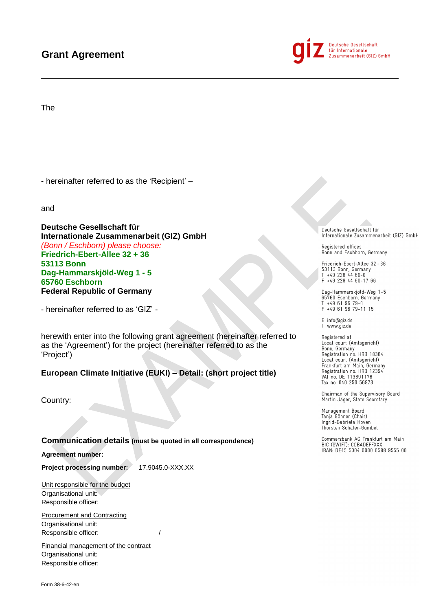# **Grant Agreement**



Deutsche Gesellschaft für Internationale<br>Zusammenarbeit (GIZ) GmbH

The

- hereinafter referred to as the 'Recipient' –

and

**Deutsche Gesellschaft für Internationale Zusammenarbeit (GIZ) GmbH** *(Bonn / Eschborn) please choose:*  **Friedrich-Ebert-Allee 32 + 36 53113 Bonn Dag-Hammarskjöld-Weg 1 - 5 65760 Eschborn Federal Republic of Germany**

- hereinafter referred to as 'GIZ' -

herewith enter into the following grant agreement (hereinafter referred to as the 'Agreement') for the project (hereinafter referred to as the 'Project')

**European Climate Initiative (EUKI) – Detail: (short project title)**

Country:

**Communication details (must be quoted in all correspondence)**

**Agreement number:**

**Project processing number:** 17.9045.0-XXX.XX

Unit responsible for the budget Organisational unit: Responsible officer:

Procurement and Contracting Organisational unit: Responsible officer:  $/$ 

Financial management of the contract Organisational unit: Responsible officer:

Deutsche Gesellschaft für Internationale Zusammenarbeit (GIZ) GmbH

Registered offices Bonn and Eschborn, Germany

Friedrich-Ebert-Allee 32+36 53113 Bonn, Germany<br>T +49 228 44 60-0  $F + 492284460 - 1766$ 

Dag-Hammarskjöld-Weg 1–5<br>65760 Eschborn, Germany<br>T +49 61 96 79–0 F +49 61 96 79-11 15

E info@giz.de I www.giz.de

Registered at<br>Local court (Amtsgericht)<br>Bonn, Germany Registration no. HRB 18384 Local court (Amtsgericht) Frankfurt am Main, Germany<br>Registration no. HRB 12394<br>VAT no. DE 113891176 Tax no. 040 250 56973

Chairman of the Supervisory Board Martin Jäger, State Secretary

Management Board Tanja Gönner (Chair) Ingrid-Gabriela Hoven Thorsten Schäfer-Gümbel

Commerzbank AG Frankfurt am Main BIC (SWIFT): COBADEFFXXX<br>IBAN: DE45 5004 0000 0588 9555 00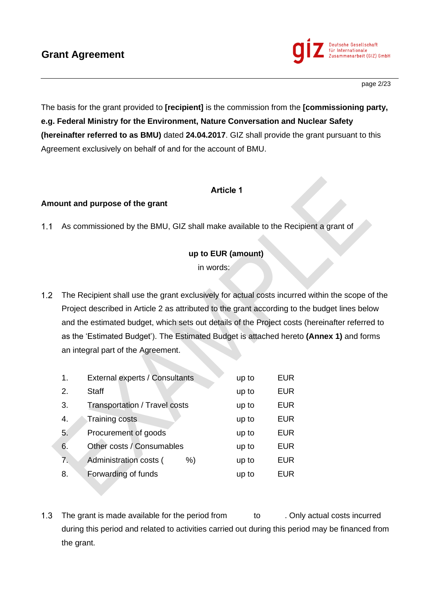

The basis for the grant provided to **[recipient]** is the commission from the **[commissioning party, e.g. Federal Ministry for the Environment, Nature Conversation and Nuclear Safety (hereinafter referred to as BMU)** dated **24.04.2017**. GIZ shall provide the grant pursuant to this Agreement exclusively on behalf of and for the account of BMU.

## **Article 1**

### **Amount and purpose of the grant**

As commissioned by the BMU, GIZ shall make available to the Recipient a grant of  $1.1 -$ 

## **up to EUR (amount)**

in words:

 $1.2<sub>1</sub>$ The Recipient shall use the grant exclusively for actual costs incurred within the scope of the Project described in Article 2 as attributed to the grant according to the budget lines below and the estimated budget, which sets out details of the Project costs (hereinafter referred to as the 'Estimated Budget'). The Estimated Budget is attached hereto **(Annex 1)** and forms an integral part of the Agreement.

| 1.               | External experts / Consultants | up to | <b>EUR</b> |
|------------------|--------------------------------|-------|------------|
| 2.               | <b>Staff</b>                   | up to | <b>EUR</b> |
| 3.               | Transportation / Travel costs  | up to | <b>EUR</b> |
| $\overline{4}$ . | Training costs                 | up to | <b>EUR</b> |
| 5.               | Procurement of goods           | up to | <b>EUR</b> |
| 6.               | Other costs / Consumables      | up to | <b>EUR</b> |
| 7.               | Administration costs (<br>%)   | up to | <b>EUR</b> |
| 8.               | Forwarding of funds            | up to | <b>EUR</b> |

The grant is made available for the period from to . Only actual costs incurred  $1.3$ during this period and related to activities carried out during this period may be financed from the grant.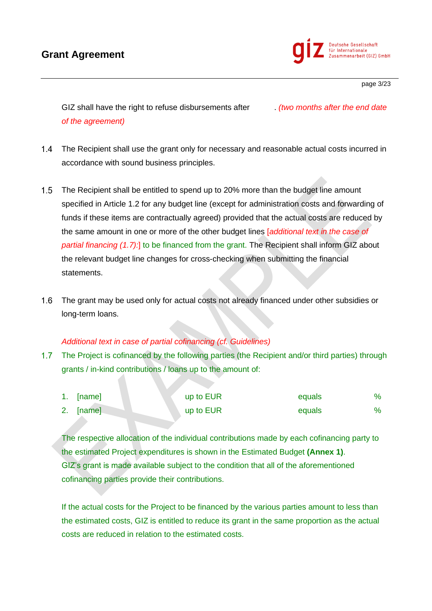# **Grant Agreement**



page 3/23

GIZ shall have the right to refuse disbursements after . *(two months after the end date of the agreement)*

- $1.4$ The Recipient shall use the grant only for necessary and reasonable actual costs incurred in accordance with sound business principles.
- The Recipient shall be entitled to spend up to 20% more than the budget line amount  $1.5$ specified in Article 1.2 for any budget line (except for administration costs and forwarding of funds if these items are contractually agreed) provided that the actual costs are reduced by the same amount in one or more of the other budget lines [*additional text in the case of partial financing (1.7):*] to be financed from the grant. The Recipient shall inform GIZ about the relevant budget line changes for cross-checking when submitting the financial statements.
- $1.6$ The grant may be used only for actual costs not already financed under other subsidies or long-term loans.

#### *Additional text in case of partial cofinancing (cf. Guidelines)*

 $1.7<sub>2</sub>$ The Project is cofinanced by the following parties (the Recipient and/or third parties) through grants / in-kind contributions / loans up to the amount of:

| 1. [name] | up to EUR | equals | $\%$ |
|-----------|-----------|--------|------|
| 2. [name] | up to EUR | equals |      |

The respective allocation of the individual contributions made by each cofinancing party to the estimated Project expenditures is shown in the Estimated Budget **(Annex 1)**. GIZ's grant is made available subject to the condition that all of the aforementioned cofinancing parties provide their contributions.

If the actual costs for the Project to be financed by the various parties amount to less than the estimated costs, GIZ is entitled to reduce its grant in the same proportion as the actual costs are reduced in relation to the estimated costs.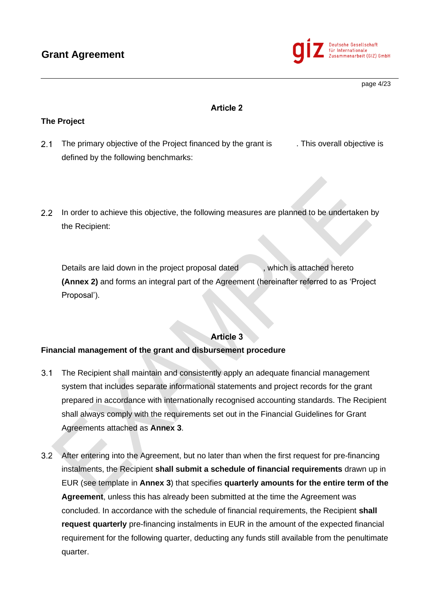

page 4/23

# **Article 2**

## **The Project**

- $2.1$ The primary objective of the Project financed by the grant is . This overall objective is defined by the following benchmarks:
- 2.2 In order to achieve this objective, the following measures are planned to be undertaken by the Recipient:

Details are laid down in the project proposal dated , which is attached hereto **(Annex 2)** and forms an integral part of the Agreement (hereinafter referred to as 'Project Proposal').

# **Article 3**

### **Financial management of the grant and disbursement procedure**

- $3.1$ The Recipient shall maintain and consistently apply an adequate financial management system that includes separate informational statements and project records for the grant prepared in accordance with internationally recognised accounting standards. The Recipient shall always comply with the requirements set out in the Financial Guidelines for Grant Agreements attached as **Annex 3**.
- $3.2$ After entering into the Agreement, but no later than when the first request for pre-financing instalments, the Recipient **shall submit a schedule of financial requirements** drawn up in EUR (see template in **Annex 3**) that specifies **quarterly amounts for the entire term of the Agreement**, unless this has already been submitted at the time the Agreement was concluded. In accordance with the schedule of financial requirements, the Recipient **shall request quarterly** pre-financing instalments in EUR in the amount of the expected financial requirement for the following quarter, deducting any funds still available from the penultimate quarter.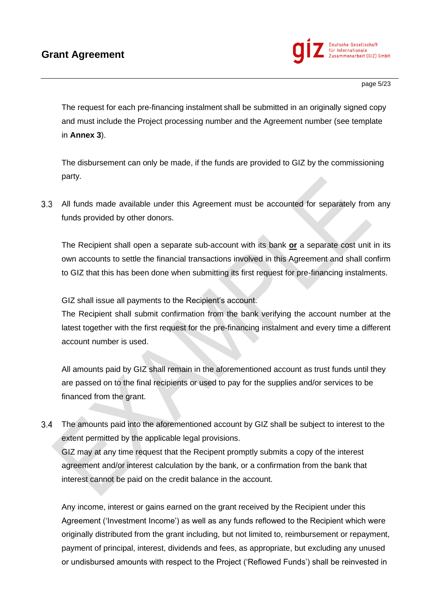

page 5/23

The request for each pre-financing instalment shall be submitted in an originally signed copy and must include the Project processing number and the Agreement number (see template in **Annex 3**).

The disbursement can only be made, if the funds are provided to GIZ by the commissioning party.

 $3.3<sub>2</sub>$ All funds made available under this Agreement must be accounted for separately from any funds provided by other donors.

The Recipient shall open a separate sub-account with its bank **or** a separate cost unit in its own accounts to settle the financial transactions involved in this Agreement and shall confirm to GIZ that this has been done when submitting its first request for pre-financing instalments.

GIZ shall issue all payments to the Recipient's account.

The Recipient shall submit confirmation from the bank verifying the account number at the latest together with the first request for the pre-financing instalment and every time a different account number is used.

All amounts paid by GIZ shall remain in the aforementioned account as trust funds until they are passed on to the final recipients or used to pay for the supplies and/or services to be financed from the grant.

 $3.4$ The amounts paid into the aforementioned account by GIZ shall be subject to interest to the extent permitted by the applicable legal provisions.

GIZ may at any time request that the Recipent promptly submits a copy of the interest agreement and/or interest calculation by the bank, or a confirmation from the bank that interest cannot be paid on the credit balance in the account.

Any income, interest or gains earned on the grant received by the Recipient under this Agreement ('Investment Income') as well as any funds reflowed to the Recipient which were originally distributed from the grant including, but not limited to, reimbursement or repayment, payment of principal, interest, dividends and fees, as appropriate, but excluding any unused or undisbursed amounts with respect to the Project ('Reflowed Funds') shall be reinvested in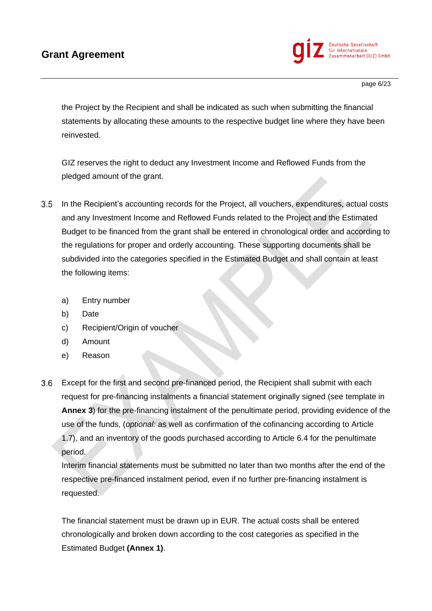

page 6/23

the Project by the Recipient and shall be indicated as such when submitting the financial statements by allocating these amounts to the respective budget line where they have been reinvested.

GIZ reserves the right to deduct any Investment Income and Reflowed Funds from the pledged amount of the grant.

- $3.5$ In the Recipient's accounting records for the Project, all vouchers, expenditures, actual costs and any Investment Income and Reflowed Funds related to the Project and the Estimated Budget to be financed from the grant shall be entered in chronological order and according to the regulations for proper and orderly accounting. These supporting documents shall be subdivided into the categories specified in the Estimated Budget and shall contain at least the following items:
	- a) Entry number
	- b) Date
	- c) Recipient/Origin of voucher
	- d) Amount
	- e) Reason
- $3.6$ Except for the first and second pre-financed period, the Recipient shall submit with each request for pre-financing instalments a financial statement originally signed (see template in **Annex 3**) for the pre-financing instalment of the penultimate period, providing evidence of the use of the funds, (*optional:* as well as confirmation of the cofinancing according to Article 1.7), and an inventory of the goods purchased according to Article 6.4 for the penultimate period.

Interim financial statements must be submitted no later than two months after the end of the respective pre-financed instalment period, even if no further pre-financing instalment is requested.

The financial statement must be drawn up in EUR. The actual costs shall be entered chronologically and broken down according to the cost categories as specified in the Estimated Budget **(Annex 1)**.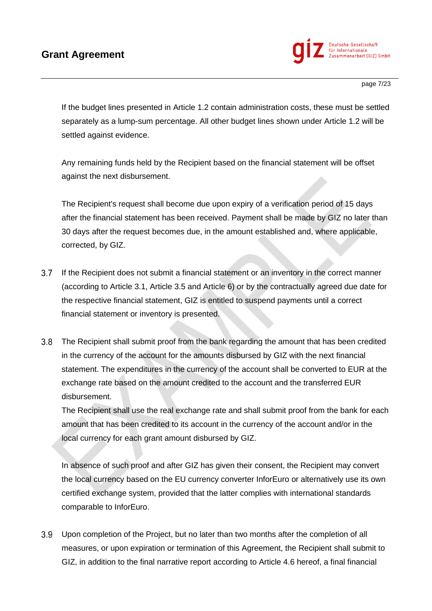

If the budget lines presented in Article 1.2 contain administration costs, these must be settled separately as a lump-sum percentage. All other budget lines shown under Article 1.2 will be settled against evidence.

Any remaining funds held by the Recipient based on the financial statement will be offset against the next disbursement.

The Recipient's request shall become due upon expiry of a verification period of 15 days after the financial statement has been received. Payment shall be made by GIZ no later than 30 days after the request becomes due, in the amount established and, where applicable, corrected, by GIZ.

- $3.7$ If the Recipient does not submit a financial statement or an inventory in the correct manner (according to Article 3.1, Article 3.5 and Article 6) or by the contractually agreed due date for the respective financial statement, GIZ is entitled to suspend payments until a correct financial statement or inventory is presented.
- $3.8$ The Recipient shall submit proof from the bank regarding the amount that has been credited in the currency of the account for the amounts disbursed by GIZ with the next financial statement. The expenditures in the currency of the account shall be converted to EUR at the exchange rate based on the amount credited to the account and the transferred EUR disbursement.

The Recipient shall use the real exchange rate and shall submit proof from the bank for each amount that has been credited to its account in the currency of the account and/or in the local currency for each grant amount disbursed by GIZ.

In absence of such proof and after GIZ has given their consent, the Recipient may convert the local currency based on the EU currency converter InforEuro or alternatively use its own certified exchange system, provided that the latter complies with international standards comparable to InforEuro.

Upon completion of the Project, but no later than two months after the completion of all measures, or upon expiration or termination of this Agreement, the Recipient shall submit to GIZ, in addition to the final narrative report according to Article 4.6 hereof, a final financial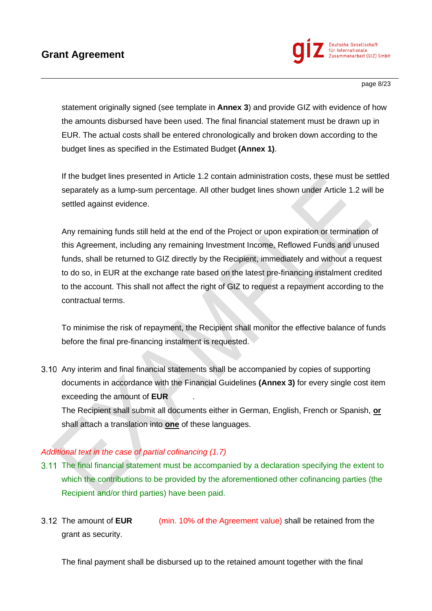

statement originally signed (see template in **Annex 3**) and provide GIZ with evidence of how the amounts disbursed have been used. The final financial statement must be drawn up in EUR. The actual costs shall be entered chronologically and broken down according to the budget lines as specified in the Estimated Budget **(Annex 1)**.

If the budget lines presented in Article 1.2 contain administration costs, these must be settled separately as a lump-sum percentage. All other budget lines shown under Article 1.2 will be settled against evidence.

Any remaining funds still held at the end of the Project or upon expiration or termination of this Agreement, including any remaining Investment Income, Reflowed Funds and unused funds, shall be returned to GIZ directly by the Recipient, immediately and without a request to do so, in EUR at the exchange rate based on the latest pre-financing instalment credited to the account. This shall not affect the right of GIZ to request a repayment according to the contractual terms.

To minimise the risk of repayment, the Recipient shall monitor the effective balance of funds before the final pre-financing instalment is requested.

3.10 Any interim and final financial statements shall be accompanied by copies of supporting documents in accordance with the Financial Guidelines **(Annex 3)** for every single cost item exceeding the amount of **EUR** .

The Recipient shall submit all documents either in German, English, French or Spanish, **or**  shall attach a translation into **one** of these languages.

## *Additional text in the case of partial cofinancing (1.7)*

- The final financial statement must be accompanied by a declaration specifying the extent to which the contributions to be provided by the aforementioned other cofinancing parties (the Recipient and/or third parties) have been paid.
- The amount of **EUR** (min. 10% of the Agreement value) shall be retained from the grant as security.

The final payment shall be disbursed up to the retained amount together with the final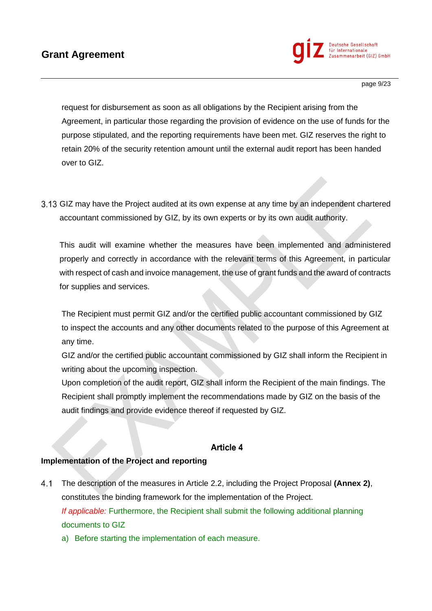

page 9/23

request for disbursement as soon as all obligations by the Recipient arising from the Agreement, in particular those regarding the provision of evidence on the use of funds for the purpose stipulated, and the reporting requirements have been met. GIZ reserves the right to retain 20% of the security retention amount until the external audit report has been handed over to GIZ.

GIZ may have the Project audited at its own expense at any time by an independent chartered accountant commissioned by GIZ, by its own experts or by its own audit authority.

This audit will examine whether the measures have been implemented and administered properly and correctly in accordance with the relevant terms of this Agreement, in particular with respect of cash and invoice management, the use of grant funds and the award of contracts for supplies and services.

The Recipient must permit GIZ and/or the certified public accountant commissioned by GIZ to inspect the accounts and any other documents related to the purpose of this Agreement at any time.

GIZ and/or the certified public accountant commissioned by GIZ shall inform the Recipient in writing about the upcoming inspection.

Upon completion of the audit report, GIZ shall inform the Recipient of the main findings. The Recipient shall promptly implement the recommendations made by GIZ on the basis of the audit findings and provide evidence thereof if requested by GIZ.

## **Article 4**

### **Implementation of the Project and reporting**

- $4.1$ The description of the measures in Article 2.2, including the Project Proposal **(Annex 2)**, constitutes the binding framework for the implementation of the Project. *If applicable:* Furthermore, the Recipient shall submit the following additional planning documents to GIZ
	- a) Before starting the implementation of each measure.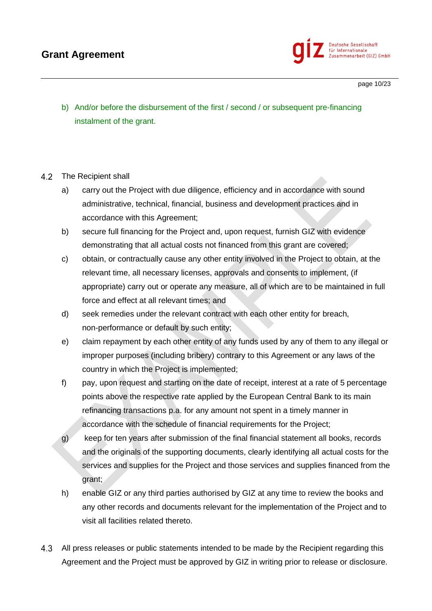

page 10/23

b) And/or before the disbursement of the first / second / or subsequent pre-financing instalment of the grant.

#### $4.2$ The Recipient shall

- a) carry out the Project with due diligence, efficiency and in accordance with sound administrative, technical, financial, business and development practices and in accordance with this Agreement;
- b) secure full financing for the Project and, upon request, furnish GIZ with evidence demonstrating that all actual costs not financed from this grant are covered;
- c) obtain, or contractually cause any other entity involved in the Project to obtain, at the relevant time, all necessary licenses, approvals and consents to implement, (if appropriate) carry out or operate any measure, all of which are to be maintained in full force and effect at all relevant times; and
- d) seek remedies under the relevant contract with each other entity for breach, non-performance or default by such entity;
- e) claim repayment by each other entity of any funds used by any of them to any illegal or improper purposes (including bribery) contrary to this Agreement or any laws of the country in which the Project is implemented;
- f) pay, upon request and starting on the date of receipt, interest at a rate of 5 percentage points above the respective rate applied by the European Central Bank to its main refinancing transactions p.a. for any amount not spent in a timely manner in accordance with the schedule of financial requirements for the Project;
- g) keep for ten years after submission of the final financial statement all books, records and the originals of the supporting documents, clearly identifying all actual costs for the services and supplies for the Project and those services and supplies financed from the grant;
- h) enable GIZ or any third parties authorised by GIZ at any time to review the books and any other records and documents relevant for the implementation of the Project and to visit all facilities related thereto.
- $4.3$ All press releases or public statements intended to be made by the Recipient regarding this Agreement and the Project must be approved by GIZ in writing prior to release or disclosure.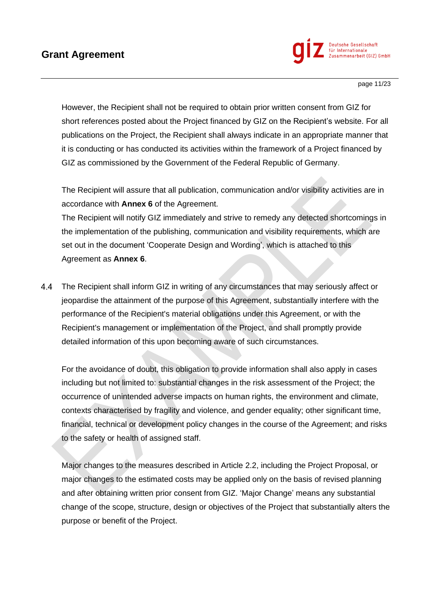

page 11/23

However, the Recipient shall not be required to obtain prior written consent from GIZ for short references posted about the Project financed by GIZ on the Recipient's website. For all publications on the Project, the Recipient shall always indicate in an appropriate manner that it is conducting or has conducted its activities within the framework of a Project financed by GIZ as commissioned by the Government of the Federal Republic of Germany.

The Recipient will assure that all publication, communication and/or visibility activities are in accordance with **Annex 6** of the Agreement.

The Recipient will notify GIZ immediately and strive to remedy any detected shortcomings in the implementation of the publishing, communication and visibility requirements, which are set out in the document 'Cooperate Design and Wording', which is attached to this Agreement as **Annex 6**.

The Recipient shall inform GIZ in writing of any circumstances that may seriously affect or 4.4 jeopardise the attainment of the purpose of this Agreement, substantially interfere with the performance of the Recipient's material obligations under this Agreement, or with the Recipient's management or implementation of the Project, and shall promptly provide detailed information of this upon becoming aware of such circumstances.

For the avoidance of doubt, this obligation to provide information shall also apply in cases including but not limited to: substantial changes in the risk assessment of the Project; the occurrence of unintended adverse impacts on human rights, the environment and climate, contexts characterised by fragility and violence, and gender equality; other significant time, financial, technical or development policy changes in the course of the Agreement; and risks to the safety or health of assigned staff.

Major changes to the measures described in Article 2.2, including the Project Proposal, or major changes to the estimated costs may be applied only on the basis of revised planning and after obtaining written prior consent from GIZ. 'Major Change' means any substantial change of the scope, structure, design or objectives of the Project that substantially alters the purpose or benefit of the Project.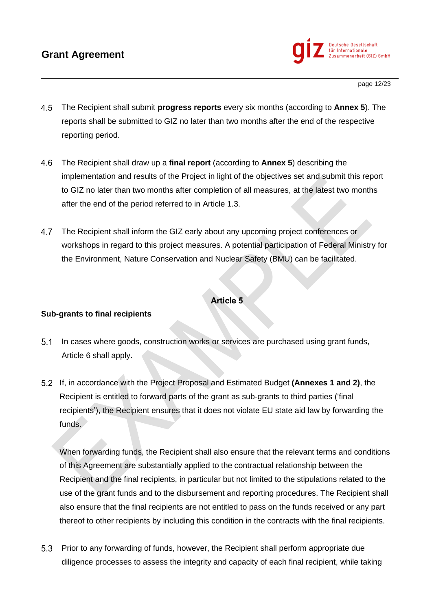

page 12/23

- 4.5 The Recipient shall submit **progress reports** every six months (according to **Annex 5**). The reports shall be submitted to GIZ no later than two months after the end of the respective reporting period.
- 4.6 The Recipient shall draw up a **final report** (according to **Annex 5**) describing the implementation and results of the Project in light of the objectives set and submit this report to GIZ no later than two months after completion of all measures, at the latest two months after the end of the period referred to in Article 1.3.
- $4.7$ The Recipient shall inform the GIZ early about any upcoming project conferences or workshops in regard to this project measures. A potential participation of Federal Ministry for the Environment, Nature Conservation and Nuclear Safety (BMU) can be facilitated.

### **Article 5**

#### **Sub-grants to final recipients**

- $5.1$ In cases where goods, construction works or services are purchased using grant funds, Article 6 shall apply.
- If, in accordance with the Project Proposal and Estimated Budget **(Annexes 1 and 2)**, the Recipient is entitled to forward parts of the grant as sub-grants to third parties ('final recipients'), the Recipient ensures that it does not violate EU state aid law by forwarding the funds.

When forwarding funds, the Recipient shall also ensure that the relevant terms and conditions of this Agreement are substantially applied to the contractual relationship between the Recipient and the final recipients, in particular but not limited to the stipulations related to the use of the grant funds and to the disbursement and reporting procedures. The Recipient shall also ensure that the final recipients are not entitled to pass on the funds received or any part thereof to other recipients by including this condition in the contracts with the final recipients.

 $5.3$ Prior to any forwarding of funds, however, the Recipient shall perform appropriate due diligence processes to assess the integrity and capacity of each final recipient, while taking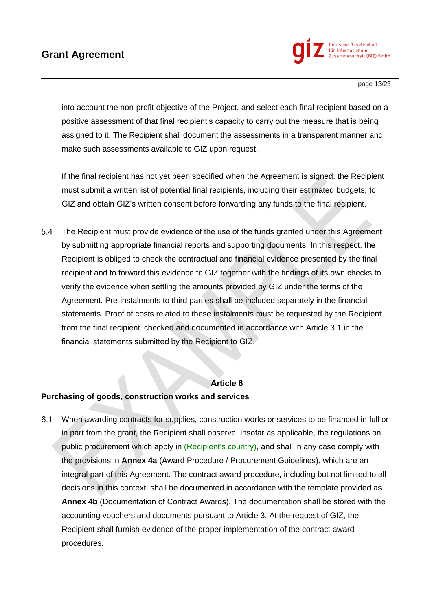

page 13/23

into account the non-profit objective of the Project, and select each final recipient based on a positive assessment of that final recipient's capacity to carry out the measure that is being assigned to it. The Recipient shall document the assessments in a transparent manner and make such assessments available to GIZ upon request.

If the final recipient has not yet been specified when the Agreement is signed, the Recipient must submit a written list of potential final recipients, including their estimated budgets, to GIZ and obtain GIZ's written consent before forwarding any funds to the final recipient.

 $5.4$ The Recipient must provide evidence of the use of the funds granted under this Agreement by submitting appropriate financial reports and supporting documents. In this respect, the Recipient is obliged to check the contractual and financial evidence presented by the final recipient and to forward this evidence to GIZ together with the findings of its own checks to verify the evidence when settling the amounts provided by GIZ under the terms of the Agreement. Pre-instalments to third parties shall be included separately in the financial statements. Proof of costs related to these instalments must be requested by the Recipient from the final recipient, checked and documented in accordance with Article 3.1 in the financial statements submitted by the Recipient to GIZ.

#### **Article 6**

#### **Purchasing of goods, construction works and services**

 $6.1$ When awarding contracts for supplies, construction works or services to be financed in full or in part from the grant, the Recipient shall observe, insofar as applicable, the regulations on public procurement which apply in (Recipient's country), and shall in any case comply with the provisions in **Annex 4a** (Award Procedure / Procurement Guidelines), which are an integral part of this Agreement. The contract award procedure, including but not limited to all decisions in this context, shall be documented in accordance with the template provided as **Annex 4b** (Documentation of Contract Awards). The documentation shall be stored with the accounting vouchers and documents pursuant to Article 3. At the request of GIZ, the Recipient shall furnish evidence of the proper implementation of the contract award procedures.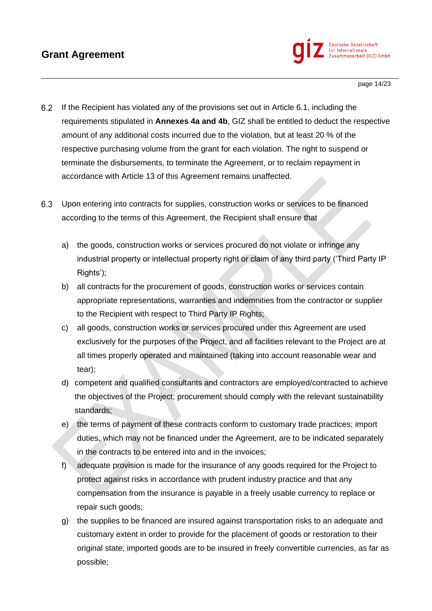

page 14/23

- $6.2$ If the Recipient has violated any of the provisions set out in Article 6.1, including the requirements stipulated in **Annexes 4a and 4b**, GIZ shall be entitled to deduct the respective amount of any additional costs incurred due to the violation, but at least 20 % of the respective purchasing volume from the grant for each violation. The right to suspend or terminate the disbursements, to terminate the Agreement, or to reclaim repayment in accordance with Article 13 of this Agreement remains unaffected.
- $6.3$ Upon entering into contracts for supplies, construction works or services to be financed according to the terms of this Agreement, the Recipient shall ensure that
	- a) the goods, construction works or services procured do not violate or infringe any industrial property or intellectual property right or claim of any third party ('Third Party IP Rights');
	- b) all contracts for the procurement of goods, construction works or services contain appropriate representations, warranties and indemnities from the contractor or supplier to the Recipient with respect to Third Party IP Rights;
	- c) all goods, construction works or services procured under this Agreement are used exclusively for the purposes of the Project, and all facilities relevant to the Project are at all times properly operated and maintained (taking into account reasonable wear and tear);
	- d) competent and qualified consultants and contractors are employed/contracted to achieve the objectives of the Project; procurement should comply with the relevant sustainability standards;
	- e) the terms of payment of these contracts conform to customary trade practices; import duties, which may not be financed under the Agreement, are to be indicated separately in the contracts to be entered into and in the invoices;
	- f) adequate provision is made for the insurance of any goods required for the Project to protect against risks in accordance with prudent industry practice and that any compensation from the insurance is payable in a freely usable currency to replace or repair such goods;
	- g) the supplies to be financed are insured against transportation risks to an adequate and customary extent in order to provide for the placement of goods or restoration to their original state; imported goods are to be insured in freely convertible currencies, as far as possible;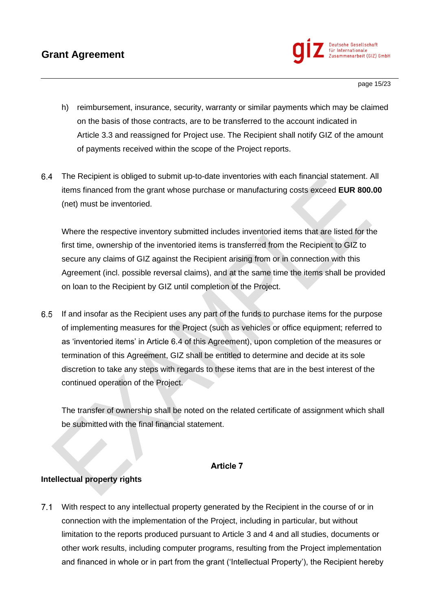

page 15/23

- h) reimbursement, insurance, security, warranty or similar payments which may be claimed on the basis of those contracts, are to be transferred to the account indicated in Article 3.3 and reassigned for Project use. The Recipient shall notify GIZ of the amount of payments received within the scope of the Project reports.
- $6.4$ The Recipient is obliged to submit up-to-date inventories with each financial statement. All items financed from the grant whose purchase or manufacturing costs exceed **EUR 800.00** (net) must be inventoried.

Where the respective inventory submitted includes inventoried items that are listed for the first time, ownership of the inventoried items is transferred from the Recipient to GIZ to secure any claims of GIZ against the Recipient arising from or in connection with this Agreement (incl. possible reversal claims), and at the same time the items shall be provided on loan to the Recipient by GIZ until completion of the Project.

If and insofar as the Recipient uses any part of the funds to purchase items for the purpose of implementing measures for the Project (such as vehicles or office equipment; referred to as 'inventoried items' in Article 6.4 of this Agreement), upon completion of the measures or termination of this Agreement, GIZ shall be entitled to determine and decide at its sole discretion to take any steps with regards to these items that are in the best interest of the continued operation of the Project.

The transfer of ownership shall be noted on the related certificate of assignment which shall be submitted with the final financial statement.

### **Article 7**

### **Intellectual property rights**

 $7.1$ With respect to any intellectual property generated by the Recipient in the course of or in connection with the implementation of the Project, including in particular, but without limitation to the reports produced pursuant to Article 3 and 4 and all studies, documents or other work results, including computer programs, resulting from the Project implementation and financed in whole or in part from the grant ('Intellectual Property'), the Recipient hereby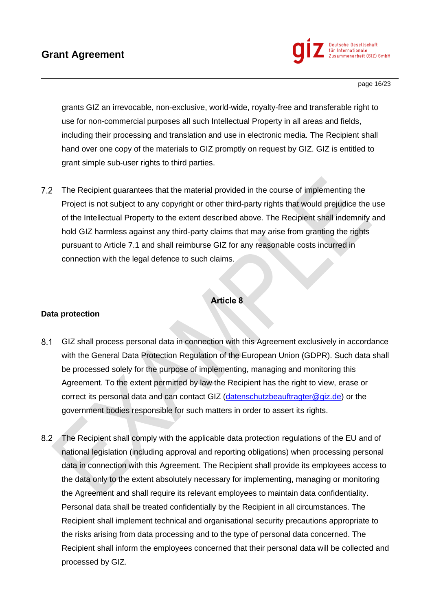

page 16/23

grants GIZ an irrevocable, non-exclusive, world-wide, royalty-free and transferable right to use for non-commercial purposes all such Intellectual Property in all areas and fields, including their processing and translation and use in electronic media. The Recipient shall hand over one copy of the materials to GIZ promptly on request by GIZ. GIZ is entitled to grant simple sub-user rights to third parties.

The Recipient guarantees that the material provided in the course of implementing the Project is not subject to any copyright or other third-party rights that would prejudice the use of the Intellectual Property to the extent described above. The Recipient shall indemnify and hold GIZ harmless against any third-party claims that may arise from granting the rights pursuant to Article 7.1 and shall reimburse GIZ for any reasonable costs incurred in connection with the legal defence to such claims.

### **Article 8**

#### **Data protection**

- $8.1$ GIZ shall process personal data in connection with this Agreement exclusively in accordance with the General Data Protection Regulation of the European Union (GDPR). Such data shall be processed solely for the purpose of implementing, managing and monitoring this Agreement. To the extent permitted by law the Recipient has the right to view, erase or correct its personal data and can contact GIZ [\(datenschutzbeauftragter@giz.de\)](mailto:datenschutzbeauftragter@giz.de) or the government bodies responsible for such matters in order to assert its rights.
- $8.2$ The Recipient shall comply with the applicable data protection regulations of the EU and of national legislation (including approval and reporting obligations) when processing personal data in connection with this Agreement. The Recipient shall provide its employees access to the data only to the extent absolutely necessary for implementing, managing or monitoring the Agreement and shall require its relevant employees to maintain data confidentiality. Personal data shall be treated confidentially by the Recipient in all circumstances. The Recipient shall implement technical and organisational security precautions appropriate to the risks arising from data processing and to the type of personal data concerned. The Recipient shall inform the employees concerned that their personal data will be collected and processed by GIZ.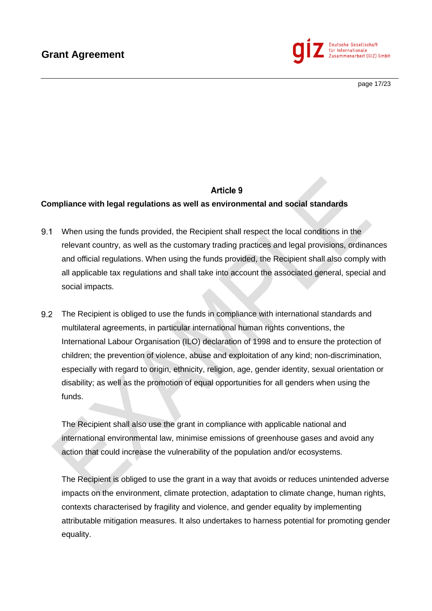

page 17/23

# **Article 9**

#### **Compliance with legal regulations as well as environmental and social standards**

- $9.1$ When using the funds provided, the Recipient shall respect the local conditions in the relevant country, as well as the customary trading practices and legal provisions, ordinances and official regulations. When using the funds provided, the Recipient shall also comply with all applicable tax regulations and shall take into account the associated general, special and social impacts.
- $9.2$ The Recipient is obliged to use the funds in compliance with international standards and multilateral agreements, in particular international human rights conventions, the International Labour Organisation (ILO) declaration of 1998 and to ensure the protection of children; the prevention of violence, abuse and exploitation of any kind; non-discrimination, especially with regard to origin, ethnicity, religion, age, gender identity, sexual orientation or disability; as well as the promotion of equal opportunities for all genders when using the funds.

The Recipient shall also use the grant in compliance with applicable national and international environmental law, minimise emissions of greenhouse gases and avoid any action that could increase the vulnerability of the population and/or ecosystems.

The Recipient is obliged to use the grant in a way that avoids or reduces unintended adverse impacts on the environment, climate protection, adaptation to climate change, human rights, contexts characterised by fragility and violence, and gender equality by implementing attributable mitigation measures. It also undertakes to harness potential for promoting gender equality.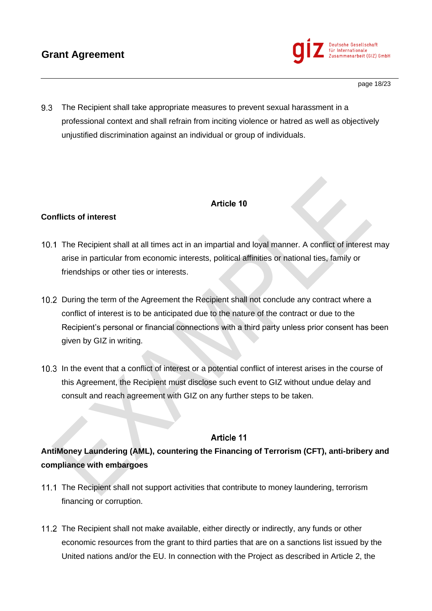

9.3 The Recipient shall take appropriate measures to prevent sexual harassment in a professional context and shall refrain from inciting violence or hatred as well as objectively unjustified discrimination against an individual or group of individuals.

# Article 10

## **Conflicts of interest**

- The Recipient shall at all times act in an impartial and loyal manner. A conflict of interest may arise in particular from economic interests, political affinities or national ties, family or friendships or other ties or interests.
- 10.2 During the term of the Agreement the Recipient shall not conclude any contract where a conflict of interest is to be anticipated due to the nature of the contract or due to the Recipient's personal or financial connections with a third party unless prior consent has been given by GIZ in writing.
- 10.3 In the event that a conflict of interest or a potential conflict of interest arises in the course of this Agreement, the Recipient must disclose such event to GIZ without undue delay and consult and reach agreement with GIZ on any further steps to be taken.

## **Article 11**

# **AntiMoney Laundering (AML), countering the Financing of Terrorism (CFT), anti-bribery and compliance with embargoes**

- 11.1 The Recipient shall not support activities that contribute to money laundering, terrorism financing or corruption.
- 11.2 The Recipient shall not make available, either directly or indirectly, any funds or other economic resources from the grant to third parties that are on a sanctions list issued by the United nations and/or the EU. In connection with the Project as described in Article 2, the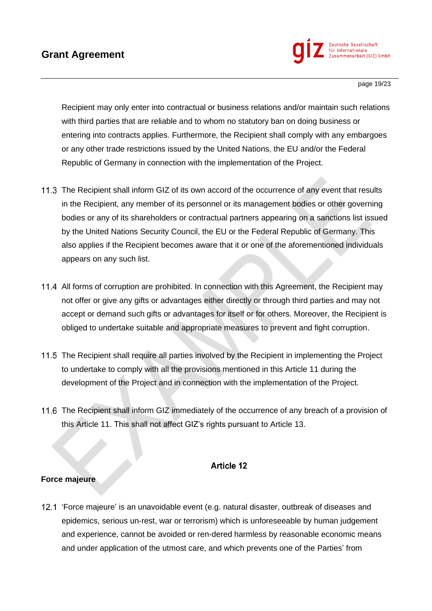

page 19/23

Recipient may only enter into contractual or business relations and/or maintain such relations with third parties that are reliable and to whom no statutory ban on doing business or entering into contracts applies. Furthermore, the Recipient shall comply with any embargoes or any other trade restrictions issued by the United Nations, the EU and/or the Federal Republic of Germany in connection with the implementation of the Project.

- 11.3 The Recipient shall inform GIZ of its own accord of the occurrence of any event that results in the Recipient, any member of its personnel or its management bodies or other governing bodies or any of its shareholders or contractual partners appearing on a sanctions list issued by the United Nations Security Council, the EU or the Federal Republic of Germany. This also applies if the Recipient becomes aware that it or one of the aforementioned individuals appears on any such list.
- 11.4 All forms of corruption are prohibited. In connection with this Agreement, the Recipient may not offer or give any gifts or advantages either directly or through third parties and may not accept or demand such gifts or advantages for itself or for others. Moreover, the Recipient is obliged to undertake suitable and appropriate measures to prevent and fight corruption.
- 11.5 The Recipient shall require all parties involved by the Recipient in implementing the Project to undertake to comply with all the provisions mentioned in this Article 11 during the development of the Project and in connection with the implementation of the Project.
- 11.6 The Recipient shall inform GIZ immediately of the occurrence of any breach of a provision of this Article 11. This shall not affect GIZ's rights pursuant to Article 13.

### **Article 12**

### **Force majeure**

'Force majeure' is an unavoidable event (e.g. natural disaster, outbreak of diseases and epidemics, serious un-rest, war or terrorism) which is unforeseeable by human judgement and experience, cannot be avoided or ren-dered harmless by reasonable economic means and under application of the utmost care, and which prevents one of the Parties' from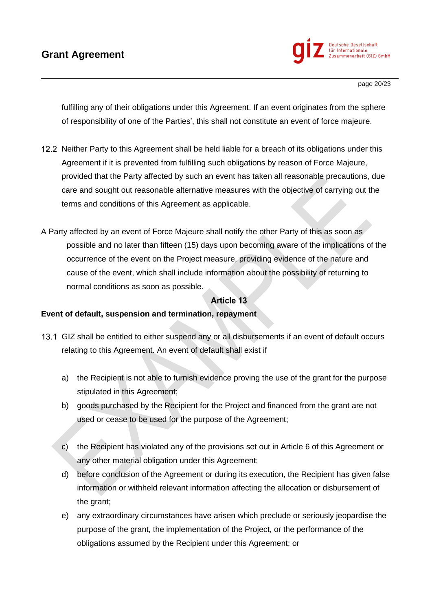

fulfilling any of their obligations under this Agreement. If an event originates from the sphere of responsibility of one of the Parties', this shall not constitute an event of force majeure.

- 12.2 Neither Party to this Agreement shall be held liable for a breach of its obligations under this Agreement if it is prevented from fulfilling such obligations by reason of Force Majeure, provided that the Party affected by such an event has taken all reasonable precautions, due care and sought out reasonable alternative measures with the objective of carrying out the terms and conditions of this Agreement as applicable.
- A Party affected by an event of Force Majeure shall notify the other Party of this as soon as possible and no later than fifteen (15) days upon becoming aware of the implications of the occurrence of the event on the Project measure, providing evidence of the nature and cause of the event, which shall include information about the possibility of returning to normal conditions as soon as possible.

## Article 13

### **Event of default, suspension and termination, repayment**

- 13.1 GIZ shall be entitled to either suspend any or all disbursements if an event of default occurs relating to this Agreement. An event of default shall exist if
	- a) the Recipient is not able to furnish evidence proving the use of the grant for the purpose stipulated in this Agreement;
	- b) goods purchased by the Recipient for the Project and financed from the grant are not used or cease to be used for the purpose of the Agreement;
	- c) the Recipient has violated any of the provisions set out in Article 6 of this Agreement or any other material obligation under this Agreement;
	- d) before conclusion of the Agreement or during its execution, the Recipient has given false information or withheld relevant information affecting the allocation or disbursement of the grant;
	- e) any extraordinary circumstances have arisen which preclude or seriously jeopardise the purpose of the grant, the implementation of the Project, or the performance of the obligations assumed by the Recipient under this Agreement; or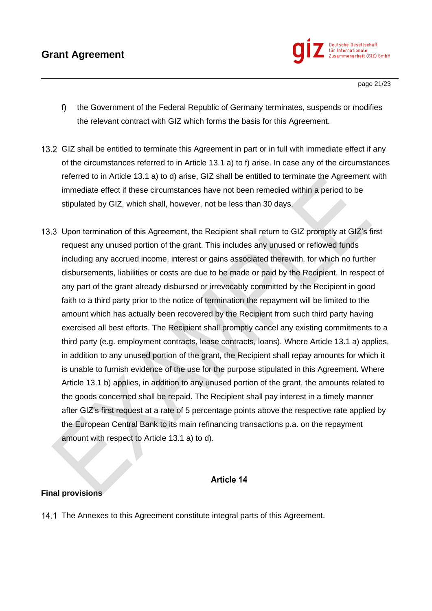

page 21/23

- f) the Government of the Federal Republic of Germany terminates, suspends or modifies the relevant contract with GIZ which forms the basis for this Agreement.
- 13.2 GIZ shall be entitled to terminate this Agreement in part or in full with immediate effect if any of the circumstances referred to in Article 13.1 a) to f) arise. In case any of the circumstances referred to in Article 13.1 a) to d) arise, GIZ shall be entitled to terminate the Agreement with immediate effect if these circumstances have not been remedied within a period to be stipulated by GIZ, which shall, however, not be less than 30 days.
- 13.3 Upon termination of this Agreement, the Recipient shall return to GIZ promptly at GIZ's first request any unused portion of the grant. This includes any unused or reflowed funds including any accrued income, interest or gains associated therewith, for which no further disbursements, liabilities or costs are due to be made or paid by the Recipient. In respect of any part of the grant already disbursed or irrevocably committed by the Recipient in good faith to a third party prior to the notice of termination the repayment will be limited to the amount which has actually been recovered by the Recipient from such third party having exercised all best efforts. The Recipient shall promptly cancel any existing commitments to a third party (e.g. employment contracts, lease contracts, loans). Where Article 13.1 a) applies, in addition to any unused portion of the grant, the Recipient shall repay amounts for which it is unable to furnish evidence of the use for the purpose stipulated in this Agreement. Where Article 13.1 b) applies, in addition to any unused portion of the grant, the amounts related to the goods concerned shall be repaid. The Recipient shall pay interest in a timely manner after GIZ's first request at a rate of 5 percentage points above the respective rate applied by the European Central Bank to its main refinancing transactions p.a. on the repayment amount with respect to Article 13.1 a) to d).

### **Article 14**

### **Final provisions**

14.1 The Annexes to this Agreement constitute integral parts of this Agreement.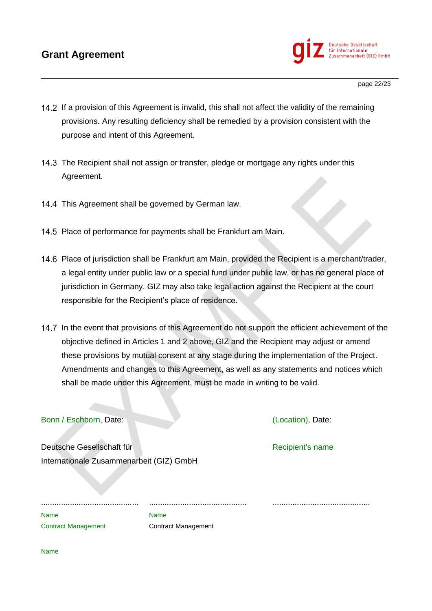# **Grant Agreement**



- If a provision of this Agreement is invalid, this shall not affect the validity of the remaining provisions. Any resulting deficiency shall be remedied by a provision consistent with the purpose and intent of this Agreement.
- 14.3 The Recipient shall not assign or transfer, pledge or mortgage any rights under this Agreement.
- 14.4 This Agreement shall be governed by German law.
- 14.5 Place of performance for payments shall be Frankfurt am Main.
- 14.6 Place of jurisdiction shall be Frankfurt am Main, provided the Recipient is a merchant/trader, a legal entity under public law or a special fund under public law, or has no general place of jurisdiction in Germany. GIZ may also take legal action against the Recipient at the court responsible for the Recipient's place of residence.
- 14.7 In the event that provisions of this Agreement do not support the efficient achievement of the objective defined in Articles 1 and 2 above, GIZ and the Recipient may adjust or amend these provisions by mutual consent at any stage during the implementation of the Project. Amendments and changes to this Agreement, as well as any statements and notices which shall be made under this Agreement, must be made in writing to be valid.

#### Bonn / Eschborn, Date: (Location), Date:

Deutsche Gesellschaft für Recipient's name Internationale Zusammenarbeit (GIZ) GmbH

............................................ ............................................ ............................................ Name Name Name

Contract Management Contract Management

Name